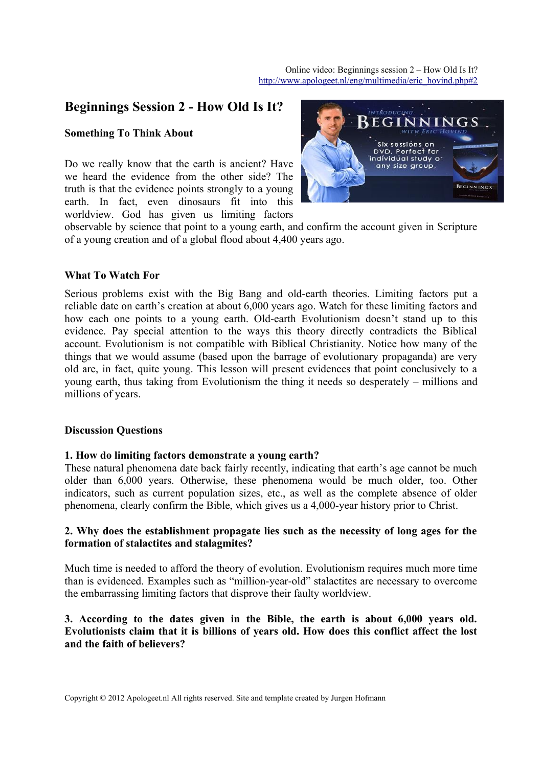# **Beginnings Session 2 - How Old Is It?**

### **Something To Think About**

Do we really know that the earth is ancient? Have we heard the evidence from the other side? The truth is that the evidence points strongly to a young earth. In fact, even dinosaurs fit into this worldview. God has given us limiting factors



observable by science that point to a young earth, and confirm the account given in Scripture of a young creation and of a global flood about 4,400 years ago.

#### **What To Watch For**

Serious problems exist with the Big Bang and old-earth theories. Limiting factors put a reliable date on earth's creation at about 6,000 years ago. Watch for these limiting factors and how each one points to a young earth. Old-earth Evolutionism doesn't stand up to this evidence. Pay special attention to the ways this theory directly contradicts the Biblical account. Evolutionism is not compatible with Biblical Christianity. Notice how many of the things that we would assume (based upon the barrage of evolutionary propaganda) are very old are, in fact, quite young. This lesson will present evidences that point conclusively to a young earth, thus taking from Evolutionism the thing it needs so desperately – millions and millions of years.

#### **Discussion Questions**

#### **1. How do limiting factors demonstrate a young earth?**

These natural phenomena date back fairly recently, indicating that earth's age cannot be much older than 6,000 years. Otherwise, these phenomena would be much older, too. Other indicators, such as current population sizes, etc., as well as the complete absence of older phenomena, clearly confirm the Bible, which gives us a 4,000-year history prior to Christ.

## **2. Why does the establishment propagate lies such as the necessity of long ages for the formation of stalactites and stalagmites?**

Much time is needed to afford the theory of evolution. Evolutionism requires much more time than is evidenced. Examples such as "million-year-old" stalactites are necessary to overcome the embarrassing limiting factors that disprove their faulty worldview.

## **3. According to the dates given in the Bible, the earth is about 6,000 years old. Evolutionists claim that it is billions of years old. How does this conflict affect the lost and the faith of believers?**